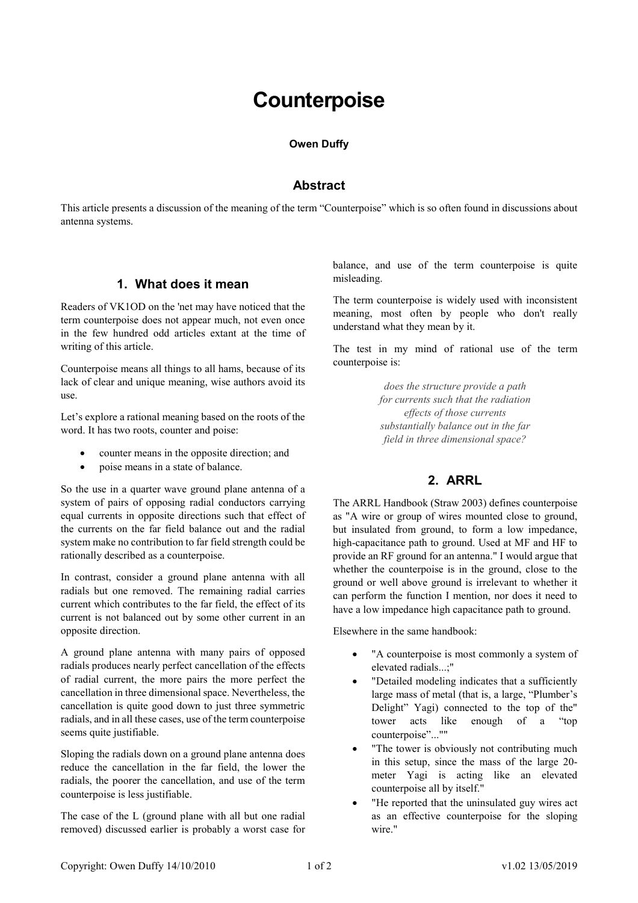# **Counterpoise**

#### **Owen Duffy**

#### **Abstract**

This article presents a discussion of the meaning of the term "Counterpoise" which is so often found in discussions about antenna systems.

#### **1. What does it mean**

Readers of VK1OD on the 'net may have noticed that the term counterpoise does not appear much, not even once in the few hundred odd articles extant at the time of writing of this article.

Counterpoise means all things to all hams, because of its lack of clear and unique meaning, wise authors avoid its use.

Let's explore a rational meaning based on the roots of the word. It has two roots, counter and poise:

- counter means in the opposite direction; and
- poise means in a state of balance.

So the use in a quarter wave ground plane antenna of a system of pairs of opposing radial conductors carrying equal currents in opposite directions such that effect of the currents on the far field balance out and the radial system make no contribution to far field strength could be rationally described as a counterpoise.

In contrast, consider a ground plane antenna with all radials but one removed. The remaining radial carries current which contributes to the far field, the effect of its current is not balanced out by some other current in an opposite direction.

A ground plane antenna with many pairs of opposed radials produces nearly perfect cancellation of the effects of radial current, the more pairs the more perfect the cancellation in three dimensional space. Nevertheless, the cancellation is quite good down to just three symmetric radials, and in all these cases, use of the term counterpoise seems quite justifiable.

Sloping the radials down on a ground plane antenna does reduce the cancellation in the far field, the lower the radials, the poorer the cancellation, and use of the term counterpoise is less justifiable.

The case of the L (ground plane with all but one radial removed) discussed earlier is probably a worst case for

balance, and use of the term counterpoise is quite misleading.

The term counterpoise is widely used with inconsistent meaning, most often by people who don't really understand what they mean by it.

The test in my mind of rational use of the term counterpoise is:

> *does the structure provide a path for currents such that the radiation effects of those currents substantially balance out in the far field in three dimensional space?*

# **2. ARRL**

The ARRL Handbook (Straw 2003) defines counterpoise as "A wire or group of wires mounted close to ground, but insulated from ground, to form a low impedance, high-capacitance path to ground. Used at MF and HF to provide an RF ground for an antenna." I would argue that whether the counterpoise is in the ground, close to the ground or well above ground is irrelevant to whether it can perform the function I mention, nor does it need to have a low impedance high capacitance path to ground.

Elsewhere in the same handbook:

- "A counterpoise is most commonly a system of elevated radials...;"
- "Detailed modeling indicates that a sufficiently large mass of metal (that is, a large, "Plumber's Delight" Yagi) connected to the top of the" tower acts like enough of a "top counterpoise"...""
- "The tower is obviously not contributing much in this setup, since the mass of the large 20 meter Yagi is acting like an elevated counterpoise all by itself."
- "He reported that the uninsulated guy wires act as an effective counterpoise for the sloping wire."